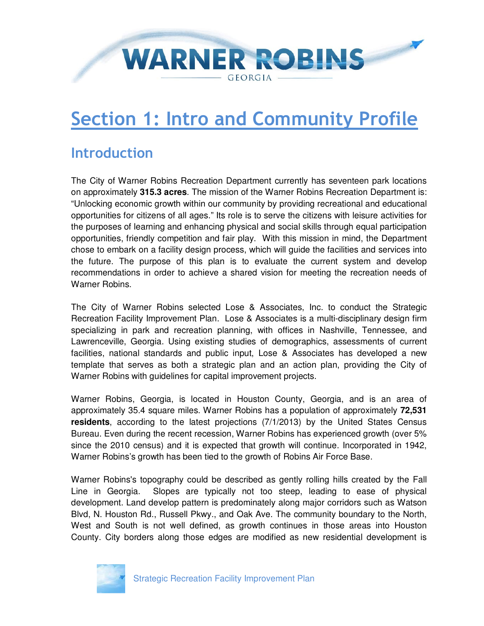# WARNER ROBINS - GEORGIA –

## **Section 1: Intro and Community Profile**

#### **Introduction**

The City of Warner Robins Recreation Department currently has seventeen park locations on approximately **315.3 acres**. The mission of the Warner Robins Recreation Department is: "Unlocking economic growth within our community by providing recreational and educational opportunities for citizens of all ages." Its role is to serve the citizens with leisure activities for the purposes of learning and enhancing physical and social skills through equal participation opportunities, friendly competition and fair play. With this mission in mind, the Department chose to embark on a facility design process, which will guide the facilities and services into the future. The purpose of this plan is to evaluate the current system and develop recommendations in order to achieve a shared vision for meeting the recreation needs of Warner Robins.

The City of Warner Robins selected Lose & Associates, Inc. to conduct the Strategic Recreation Facility Improvement Plan. Lose & Associates is a multi-disciplinary design firm specializing in park and recreation planning, with offices in Nashville, Tennessee, and Lawrenceville, Georgia. Using existing studies of demographics, assessments of current facilities, national standards and public input, Lose & Associates has developed a new template that serves as both a strategic plan and an action plan, providing the City of Warner Robins with guidelines for capital improvement projects.

Warner Robins, Georgia, is located in Houston County, Georgia, and is an area of approximately 35.4 square miles. Warner Robins has a population of approximately **72,531 residents**, according to the latest projections (7/1/2013) by the United States Census Bureau. Even during the recent recession, Warner Robins has experienced growth (over 5% since the 2010 census) and it is expected that growth will continue. Incorporated in 1942, Warner Robins's growth has been tied to the growth of Robins Air Force Base.

Warner Robins's topography could be described as gently rolling hills created by the Fall Line in Georgia. Slopes are typically not too steep, leading to ease of physical development. Land develop pattern is predominately along major corridors such as Watson Blvd, N. Houston Rd., Russell Pkwy., and Oak Ave. The community boundary to the North, West and South is not well defined, as growth continues in those areas into Houston County. City borders along those edges are modified as new residential development is

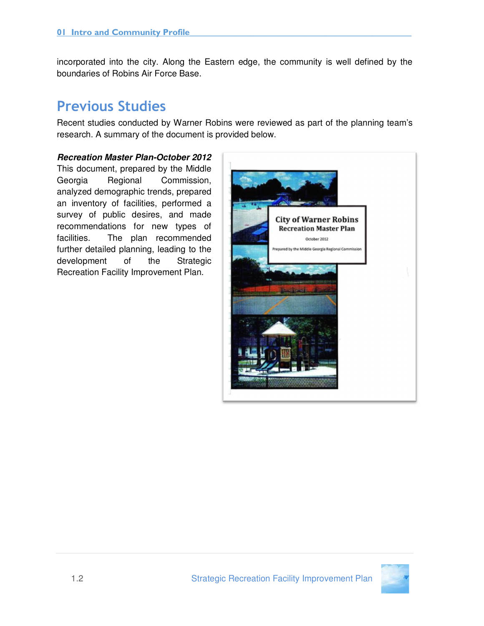incorporated into the city. Along the Eastern edge, the community is well defined by the boundaries of Robins Air Force Base.

### **Previous Studies**

Recent studies conducted by Warner Robins were reviewed as part of the planning team's research. A summary of the document is provided below.

#### **Recreation Master Plan-October 2012**

This document, prepared by the Middle Georgia Regional Commission, analyzed demographic trends, prepared an inventory of facilities, performed a survey of public desires, and made recommendations for new types of facilities. The plan recommended further detailed planning, leading to the development of the Strategic Recreation Facility Improvement Plan.